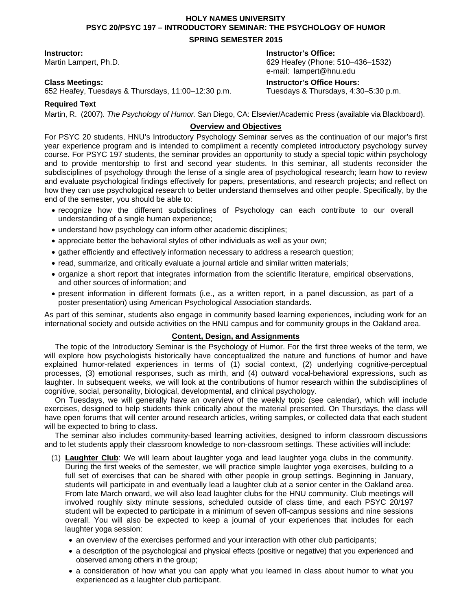# **HOLY NAMES UNIVERSITY PSYC 20/PSYC 197 – INTRODUCTORY SEMINAR: THE PSYCHOLOGY OF HUMOR SPRING SEMESTER 2015**

652 Heafey, Tuesdays & Thursdays, 11:00–12:30 p.m. Tuesdays & Thursdays, 4:30–5:30 p.m.

**Instructor: Instructor's Office:** 

Martin Lampert, Ph.D. 629 Heafey (Phone: 510–436–1532) e-mail: lampert@hnu.edu

### **Class Meetings: Instructor's Office Hours:**

## **Required Text**

Martin, R. (2007). *The Psychology of Humor.* San Diego, CA: Elsevier/Academic Press (available via Blackboard).

# **Overview and Objectives**

For PSYC 20 students, HNU's Introductory Psychology Seminar serves as the continuation of our major's first year experience program and is intended to compliment a recently completed introductory psychology survey course. For PSYC 197 students, the seminar provides an opportunity to study a special topic within psychology and to provide mentorship to first and second year students. In this seminar, all students reconsider the subdisciplines of psychology through the lense of a single area of psychological research; learn how to review and evaluate psychological findings effectively for papers, presentations, and research projects; and reflect on how they can use psychological research to better understand themselves and other people. Specifically, by the end of the semester, you should be able to:

- recognize how the different subdisciplines of Psychology can each contribute to our overall understanding of a single human experience;
- understand how psychology can inform other academic disciplines;
- appreciate better the behavioral styles of other individuals as well as your own;
- gather efficiently and effectively information necessary to address a research question;
- read, summarize, and critically evaluate a journal article and similar written materials;
- organize a short report that integrates information from the scientific literature, empirical observations, and other sources of information; and
- present information in different formats (i.e., as a written report, in a panel discussion, as part of a poster presentation) using American Psychological Association standards.

As part of this seminar, students also engage in community based learning experiences, including work for an international society and outside activities on the HNU campus and for community groups in the Oakland area.

### **Content, Design, and Assignments**

The topic of the Introductory Seminar is the Psychology of Humor. For the first three weeks of the term, we will explore how psychologists historically have conceptualized the nature and functions of humor and have explained humor-related experiences in terms of (1) social context, (2) underlying cognitive-perceptual processes, (3) emotional responses, such as mirth, and (4) outward vocal-behavioral expressions, such as laughter. In subsequent weeks, we will look at the contributions of humor research within the subdisciplines of cognitive, social, personality, biological, developmental, and clinical psychology.

On Tuesdays, we will generally have an overview of the weekly topic (see calendar), which will include exercises, designed to help students think critically about the material presented. On Thursdays, the class will have open forums that will center around research articles, writing samples, or collected data that each student will be expected to bring to class.

The seminar also includes community-based learning activities, designed to inform classroom discussions and to let students apply their classroom knowledge to non-classroom settings. These activities will include:

- (1) **Laughter Club**: We will learn about laughter yoga and lead laughter yoga clubs in the community. During the first weeks of the semester, we will practice simple laughter yoga exercises, building to a full set of exercises that can be shared with other people in group settings. Beginning in January, students will participate in and eventually lead a laughter club at a senior center in the Oakland area. From late March onward, we will also lead laughter clubs for the HNU community. Club meetings will involved roughly sixty minute sessions, scheduled outside of class time, and each PSYC 20/197 student will be expected to participate in a minimum of seven off-campus sessions and nine sessions overall. You will also be expected to keep a journal of your experiences that includes for each laughter yoga session:
	- an overview of the exercises performed and your interaction with other club participants;
	- a description of the psychological and physical effects (positive or negative) that you experienced and observed among others in the group;
	- a consideration of how what you can apply what you learned in class about humor to what you experienced as a laughter club participant.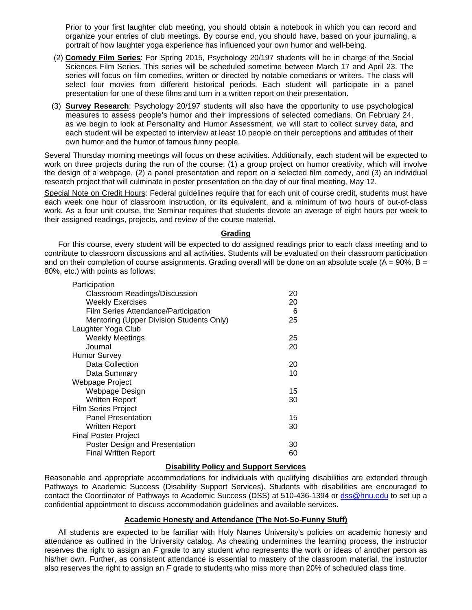Prior to your first laughter club meeting, you should obtain a notebook in which you can record and organize your entries of club meetings. By course end, you should have, based on your journaling, a portrait of how laughter yoga experience has influenced your own humor and well-being.

- (2) **Comedy Film Series**: For Spring 2015, Psychology 20/197 students will be in charge of the Social Sciences Film Series. This series will be scheduled sometime between March 17 and April 23. The series will focus on film comedies, written or directed by notable comedians or writers. The class will select four movies from different historical periods. Each student will participate in a panel presentation for one of these films and turn in a written report on their presentation.
- (3) **Survey Research**: Psychology 20/197 students will also have the opportunity to use psychological measures to assess people's humor and their impressions of selected comedians. On February 24, as we begin to look at Personality and Humor Assessment, we will start to collect survey data, and each student will be expected to interview at least 10 people on their perceptions and attitudes of their own humor and the humor of famous funny people.

Several Thursday morning meetings will focus on these activities. Additionally, each student will be expected to work on three projects during the run of the course: (1) a group project on humor creativity, which will involve the design of a webpage, (2) a panel presentation and report on a selected film comedy, and (3) an individual research project that will culminate in poster presentation on the day of our final meeting, May 12.

Special Note on Credit Hours: Federal guidelines require that for each unit of course credit, students must have each week one hour of classroom instruction, or its equivalent, and a minimum of two hours of out-of-class work. As a four unit course, the Seminar requires that students devote an average of eight hours per week to their assigned readings, projects, and review of the course material.

#### **Grading**

For this course, every student will be expected to do assigned readings prior to each class meeting and to contribute to classroom discussions and all activities. Students will be evaluated on their classroom participation and on their completion of course assignments. Grading overall will be done on an absolute scale ( $A = 90\%$ , B = 80%, etc.) with points as follows:

| Participation<br><b>Classroom Readings/Discussion</b> | 20 |
|-------------------------------------------------------|----|
| <b>Weekly Exercises</b>                               | 20 |
| Film Series Attendance/Participation                  | 6  |
| Mentoring (Upper Division Students Only)              | 25 |
| Laughter Yoga Club                                    |    |
| <b>Weekly Meetings</b>                                | 25 |
| Journal                                               | 20 |
| <b>Humor Survey</b>                                   |    |
| Data Collection                                       | 20 |
| Data Summary                                          | 10 |
| Webpage Project                                       |    |
| Webpage Design                                        | 15 |
| Written Report                                        | 30 |
| <b>Film Series Project</b>                            |    |
| <b>Panel Presentation</b>                             | 15 |
| Written Report                                        | 30 |
| <b>Final Poster Project</b>                           |    |
| Poster Design and Presentation                        | 30 |
| Final Written Report                                  | 60 |

#### **Disability Policy and Support Services**

Reasonable and appropriate accommodations for individuals with qualifying disabilities are extended through Pathways to Academic Success (Disability Support Services). Students with disabilities are encouraged to contact the Coordinator of Pathways to Academic Success (DSS) at 510-436-1394 or dss@hnu.edu to set up a confidential appointment to discuss accommodation guidelines and available services.

### **Academic Honesty and Attendance (The Not-So-Funny Stuff)**

All students are expected to be familiar with Holy Names University's policies on academic honesty and attendance as outlined in the University catalog. As cheating undermines the learning process, the instructor reserves the right to assign an *F* grade to any student who represents the work or ideas of another person as his/her own. Further, as consistent attendance is essential to mastery of the classroom material, the instructor also reserves the right to assign an *F* grade to students who miss more than 20% of scheduled class time.